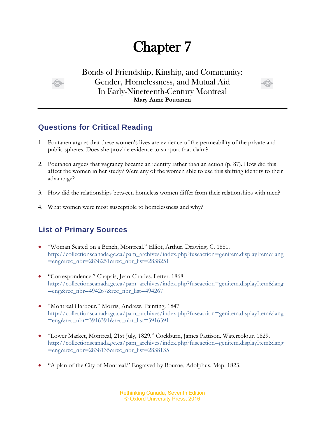## Chapter 7

Bonds of Friendship, Kinship, and Community: Gender, Homelessness, and Mutual Aid In Early-Nineteenth-Century Montreal **Mary Anne Poutanen**



## **Questions for Critical Reading**

- 1. Poutanen argues that these women's lives are evidence of the permeability of the private and public spheres. Does she provide evidence to support that claim?
- 2. Poutanen argues that vagrancy became an identity rather than an action (p. 87). How did this affect the women in her study? Were any of the women able to use this shifting identity to their advantage?
- 3. How did the relationships between homeless women differ from their relationships with men?
- 4. What women were most susceptible to homelessness and why?

## **List of Primary Sources**

- "Woman Seated on a Bench, Montreal." Elliot, Arthur. Drawing. C. 1881. [http://collectionscanada.gc.ca/pam\\_archives/index.php?fuseaction=genitem.displayItem&lang](http://collectionscanada.gc.ca/pam_archives/index.php?fuseaction=genitem.displayItem&lang=eng&rec_nbr=2838251&rec_nbr_list=2838251) [=eng&rec\\_nbr=2838251&rec\\_nbr\\_list=2838251](http://collectionscanada.gc.ca/pam_archives/index.php?fuseaction=genitem.displayItem&lang=eng&rec_nbr=2838251&rec_nbr_list=2838251)
- "Correspondence." Chapais, Jean-Charles. Letter. 1868. [http://collectionscanada.gc.ca/pam\\_archives/index.php?fuseaction=genitem.displayItem&lang](http://collectionscanada.gc.ca/pam_archives/index.php?fuseaction=genitem.displayItem&lang=eng&rec_nbr=494267&rec_nbr_list=494267) [=eng&rec\\_nbr=494267&rec\\_nbr\\_list=494267](http://collectionscanada.gc.ca/pam_archives/index.php?fuseaction=genitem.displayItem&lang=eng&rec_nbr=494267&rec_nbr_list=494267)
- "Montreal Harbour." Morris, Andrew. Painting. 1847 [http://collectionscanada.gc.ca/pam\\_archives/index.php?fuseaction=genitem.displayItem&lang](http://collectionscanada.gc.ca/pam_archives/index.php?fuseaction=genitem.displayItem&lang=eng&rec_nbr=3916391&rec_nbr_list=3916391) [=eng&rec\\_nbr=3916391&rec\\_nbr\\_list=3916391](http://collectionscanada.gc.ca/pam_archives/index.php?fuseaction=genitem.displayItem&lang=eng&rec_nbr=3916391&rec_nbr_list=3916391)
- "Lower Market, Montreal, 21st July, 1829." Cockburn, James Pattison. Watercolour. 1829. [http://collectionscanada.gc.ca/pam\\_archives/index.php?fuseaction=genitem.displayItem&lang](http://collectionscanada.gc.ca/pam_archives/index.php?fuseaction=genitem.displayItem&lang=eng&rec_nbr=2838135&rec_nbr_list=2838135) [=eng&rec\\_nbr=2838135&rec\\_nbr\\_list=2838135](http://collectionscanada.gc.ca/pam_archives/index.php?fuseaction=genitem.displayItem&lang=eng&rec_nbr=2838135&rec_nbr_list=2838135)
- "A plan of the City of Montreal." Engraved by Bourne, Adolphus. Map. 1823.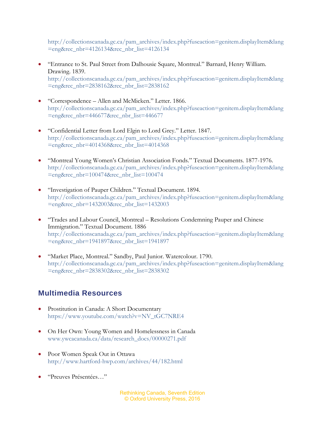[http://collectionscanada.gc.ca/pam\\_archives/index.php?fuseaction=genitem.displayItem&lang](http://collectionscanada.gc.ca/pam_archives/index.php?fuseaction=genitem.displayItem&lang=eng&rec_nbr=4126134&rec_nbr_list=4126134) [=eng&rec\\_nbr=4126134&rec\\_nbr\\_list=4126134](http://collectionscanada.gc.ca/pam_archives/index.php?fuseaction=genitem.displayItem&lang=eng&rec_nbr=4126134&rec_nbr_list=4126134)

- "Entrance to St. Paul Street from Dalhousie Square, Montreal." Barnard, Henry William. Drawing. 1839. [http://collectionscanada.gc.ca/pam\\_archives/index.php?fuseaction=genitem.displayItem&lang](http://collectionscanada.gc.ca/pam_archives/index.php?fuseaction=genitem.displayItem&lang=eng&rec_nbr=2838162&rec_nbr_list=2838162) [=eng&rec\\_nbr=2838162&rec\\_nbr\\_list=2838162](http://collectionscanada.gc.ca/pam_archives/index.php?fuseaction=genitem.displayItem&lang=eng&rec_nbr=2838162&rec_nbr_list=2838162)
- "Correspondence Allen and McMicken." Letter. 1866. [http://collectionscanada.gc.ca/pam\\_archives/index.php?fuseaction=genitem.displayItem&lang](http://collectionscanada.gc.ca/pam_archives/index.php?fuseaction=genitem.displayItem&lang=eng&rec_nbr=446677&rec_nbr_list=446677) [=eng&rec\\_nbr=446677&rec\\_nbr\\_list=446677](http://collectionscanada.gc.ca/pam_archives/index.php?fuseaction=genitem.displayItem&lang=eng&rec_nbr=446677&rec_nbr_list=446677)
- "Confidential Letter from Lord Elgin to Lord Grey." Letter. 1847. [http://collectionscanada.gc.ca/pam\\_archives/index.php?fuseaction=genitem.displayItem&lang](http://collectionscanada.gc.ca/pam_archives/index.php?fuseaction=genitem.displayItem&lang=eng&rec_nbr=4014368&rec_nbr_list=4014368) [=eng&rec\\_nbr=4014368&rec\\_nbr\\_list=4014368](http://collectionscanada.gc.ca/pam_archives/index.php?fuseaction=genitem.displayItem&lang=eng&rec_nbr=4014368&rec_nbr_list=4014368)
- "Montreal Young Women's Christian Association Fonds." Textual Documents. 1877-1976. [http://collectionscanada.gc.ca/pam\\_archives/index.php?fuseaction=genitem.displayItem&lang](http://collectionscanada.gc.ca/pam_archives/index.php?fuseaction=genitem.displayItem&lang=eng&rec_nbr=100474&rec_nbr_list=100474) [=eng&rec\\_nbr=100474&rec\\_nbr\\_list=100474](http://collectionscanada.gc.ca/pam_archives/index.php?fuseaction=genitem.displayItem&lang=eng&rec_nbr=100474&rec_nbr_list=100474)
- "Investigation of Pauper Children." Textual Document. 1894. http://collectionscanada.gc.ca/pam\_archives/index.php?fuseaction=genitem.displayItem&lang =eng&rec\_nbr=1432003&rec\_nbr\_list=1432003
- "Trades and Labour Council, Montreal Resolutions Condemning Pauper and Chinese Immigration." Textual Document. 1886 [http://collectionscanada.gc.ca/pam\\_archives/index.php?fuseaction=genitem.displayItem&lang](http://collectionscanada.gc.ca/pam_archives/index.php?fuseaction=genitem.displayItem&lang=eng&rec_nbr=1941897&rec_nbr_list=1941897) [=eng&rec\\_nbr=1941897&rec\\_nbr\\_list=1941897](http://collectionscanada.gc.ca/pam_archives/index.php?fuseaction=genitem.displayItem&lang=eng&rec_nbr=1941897&rec_nbr_list=1941897)
- "Market Place, Montreal." Sandby, Paul Junior. Watercolour. 1790. http://collectionscanada.gc.ca/pam\_archives/index.php?fuseaction=genitem.displayItem&lang =eng&rec\_nbr=2838302&rec\_nbr\_list=2838302

## **Multimedia Resources**

- Prostitution in Canada: A Short Documentary [https://www.youtube.com/watch?v=NV\\_tGC7NRE4](https://www.youtube.com/watch?v=NV_tGC7NRE4)
- On Her Own: Young Women and Homelessness in Canada [www.ywcacanada.ca/data/research\\_docs/00000271.pdf](http://www.ywcacanada.ca/data/research_docs/00000271.pdf)
- Poor Women Speak Out in Ottawa <http://www.hartford-hwp.com/archives/44/182.html>
- "Preuves Présentées…"

Rethinking Canada, Seventh Edition © Oxford University Press, 2016